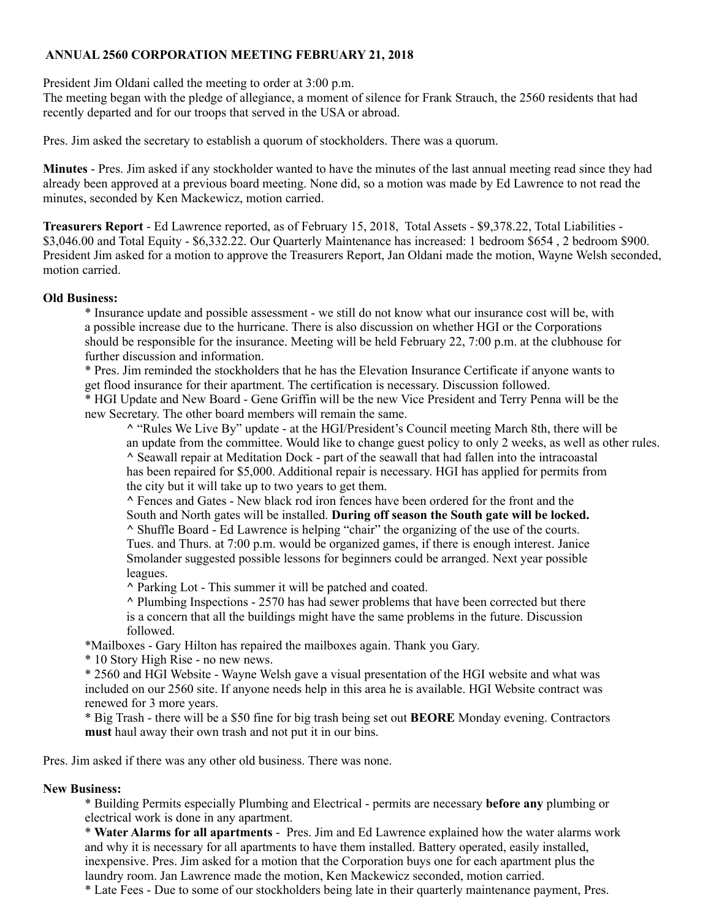## **ANNUAL 2560 CORPORATION MEETING FEBRUARY 21, 2018**

President Jim Oldani called the meeting to order at 3:00 p.m.

The meeting began with the pledge of allegiance, a moment of silence for Frank Strauch, the 2560 residents that had recently departed and for our troops that served in the USA or abroad.

Pres. Jim asked the secretary to establish a quorum of stockholders. There was a quorum.

**Minutes** - Pres. Jim asked if any stockholder wanted to have the minutes of the last annual meeting read since they had already been approved at a previous board meeting. None did, so a motion was made by Ed Lawrence to not read the minutes, seconded by Ken Mackewicz, motion carried.

**Treasurers Report** - Ed Lawrence reported, as of February 15, 2018, Total Assets - \$9,378.22, Total Liabilities - \$3,046.00 and Total Equity - \$6,332.22. Our Quarterly Maintenance has increased: 1 bedroom \$654 , 2 bedroom \$900. President Jim asked for a motion to approve the Treasurers Report, Jan Oldani made the motion, Wayne Welsh seconded, motion carried.

## **Old Business:**

\* Insurance update and possible assessment - we still do not know what our insurance cost will be, with a possible increase due to the hurricane. There is also discussion on whether HGI or the Corporations should be responsible for the insurance. Meeting will be held February 22, 7:00 p.m. at the clubhouse for further discussion and information.

\* Pres. Jim reminded the stockholders that he has the Elevation Insurance Certificate if anyone wants to get flood insurance for their apartment. The certification is necessary. Discussion followed. \* HGI Update and New Board - Gene Griffin will be the new Vice President and Terry Penna will be the new Secretary. The other board members will remain the same.

**^** "Rules We Live By" update - at the HGI/President's Council meeting March 8th, there will be an update from the committee. Would like to change guest policy to only 2 weeks, as well as other rules. **^** Seawall repair at Meditation Dock - part of the seawall that had fallen into the intracoastal has been repaired for \$5,000. Additional repair is necessary. HGI has applied for permits from the city but it will take up to two years to get them.

**^** Fences and Gates - New black rod iron fences have been ordered for the front and the South and North gates will be installed. **During off season the South gate will be locked. ^** Shuffle Board - Ed Lawrence is helping "chair" the organizing of the use of the courts. Tues. and Thurs. at 7:00 p.m. would be organized games, if there is enough interest. Janice Smolander suggested possible lessons for beginners could be arranged. Next year possible leagues.

**^** Parking Lot - This summer it will be patched and coated.

**^** Plumbing Inspections - 2570 has had sewer problems that have been corrected but there is a concern that all the buildings might have the same problems in the future. Discussion followed.

\*Mailboxes - Gary Hilton has repaired the mailboxes again. Thank you Gary.

\* 10 Story High Rise - no new news.

\* 2560 and HGI Website - Wayne Welsh gave a visual presentation of the HGI website and what was included on our 2560 site. If anyone needs help in this area he is available. HGI Website contract was renewed for 3 more years.

\* Big Trash - there will be a \$50 fine for big trash being set out **BEORE** Monday evening. Contractors **must** haul away their own trash and not put it in our bins.

Pres. Jim asked if there was any other old business. There was none.

## **New Business:**

\* Building Permits especially Plumbing and Electrical - permits are necessary **before any** plumbing or electrical work is done in any apartment.

\* **Water Alarms for all apartments** - Pres. Jim and Ed Lawrence explained how the water alarms work and why it is necessary for all apartments to have them installed. Battery operated, easily installed, inexpensive. Pres. Jim asked for a motion that the Corporation buys one for each apartment plus the laundry room. Jan Lawrence made the motion, Ken Mackewicz seconded, motion carried.

\* Late Fees - Due to some of our stockholders being late in their quarterly maintenance payment, Pres.